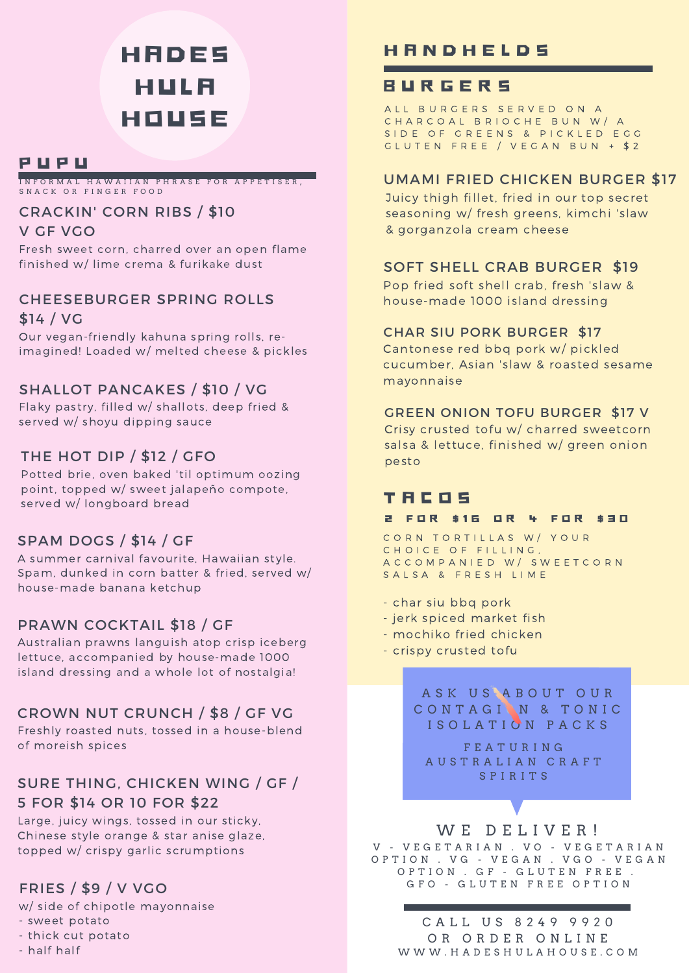# **HADES** H U L A H O U S E

## P U P U

I N F O R M A L H A W A I I A N P H R A S E F O R A P P E T I S E R , SNACK OR FINGER FOOD

#### CRACKIN' CORN RIBS / \$10 V GF VGO

Fresh sweet corn, charred over an open flame finished w/ lime crema & furikake dust

### CHEESEBURGER SPRING ROLLS \$14 / VG

Our vegan-friendly kahuna spring rolls, reimagined! Loaded w/ melted cheese & pickles

## SHALLOT PANCAKES / \$10 / VG

Flaky pastry, filled w/ shallots, deep fried & served w/ shoyu dipping sauce

## THE HOT DIP / \$12 / GFO $_{\textrm{pesto}}$

Potted brie, oven baked 'til optimum oozing point, topped w/ sweet jalapeño compote, served w/ longboard bread

## SPAM DOGS / \$14 / GF

A summer carnival favourite, Hawaiian style. Spam, dunked in corn batter & fried, served w/ house-made banana ketchup

## PRAWN COCKTAIL \$18 / GF

Australian prawns languish atop crisp iceberg lettuce, accompanied by house-made 1000 island dressing and a whole lot of nostalgia!

## CROWN NUT CRUNCH / \$8 / GF VG

Freshly roasted nuts, tossed in a house-blend of moreish spices

## SURE THING, CHICKEN WING / GF / 5 FOR \$14 OR 10 FOR \$22

Large, juicy wings, tossed in our sticky, Chinese style orange & star anise glaze, topped w/ crispy garlic scrumptions

## FRIES / \$9 / V VGO

w/ side of chipotle mayonnaise

- sweet potato
- thick cut potato
- half half

## **H A N D H E L D S**

## B U R G E R S

A LL BURGERS SERVED ON A CHARCOAL BRIOCHE BUN W/ A S I D E O F G R E E N S & P I C K L E D E G G G L U T E N F R E E / V E G A N B U N + \$ 2

#### UMAMI FRIED CHICKEN BURGER \$17

Juicy thigh fillet, fried in our top secret seasoning w/ fresh greens, kimchi 'slaw & gorganzola cream cheese

#### SOFT SHELL CRAB BURGER \$19

Pop fried soft shell crab, fresh 'slaw & house-made 1000 island dressing

#### CHAR SIU PORK BURGER \$17

Cantonese red bbq pork w/ pickled cucumber, Asian 'slaw & roasted sesame mayonnaise

#### GREEN ONION TOFU BURGER \$17 V

Crisy crusted tofu w/ charred sweetcorn salsa & lettuce, finished w/ green onion

## T A C O S

#### 2 FOR \$16 OR 4 FOR \$30

CORN TORTILLAS W/ YOUR C H O I C E O F FILLING, A C C O M P A N I E D W / S W E E T C O R N SALSA & FRESH LIME

- char siu bbq pork
- jerk spiced market fish
- mochiko fried chicken
- crispy crusted tofu

A S K U S A B O U T O U R CONTAGIN & TONIC I S O L A T I O N P A C K S

F E A T U R I N G A U S T R A L I A N C R A F T S P I R I T S

#### WE DELIVER!

V - VEGETARIAN . VO - VEGETARIAN O P T I O N . V G - V E G A N . V G O - V E G A N O P T I O N . G F - G L U T E N F R E E . G F O - G L U T E N F R E E O P T I O N

C A L L U S 8 2 4 9 9 9 2 0 OR ORDER ONLINE W W W . H A D E S H U L A H O U S E . C O M